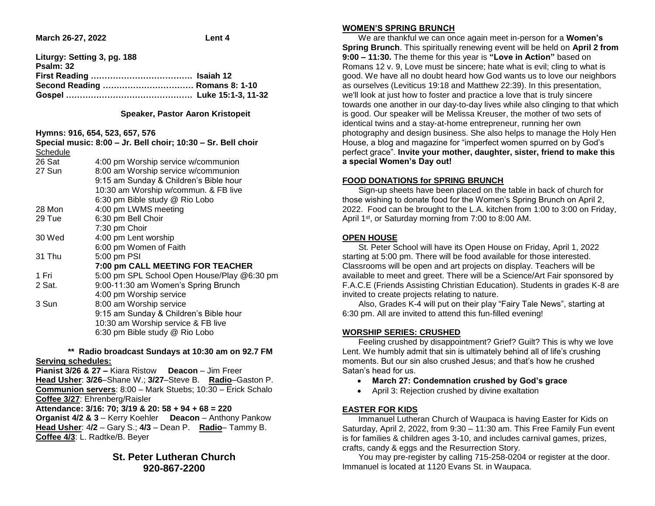**March 26-27, 2022 Lent 4** 

| Liturgy: Setting 3, pg. 188    |  |
|--------------------------------|--|
| Psalm: 32                      |  |
|                                |  |
| Second Reading  Romans 8: 1-10 |  |
|                                |  |
|                                |  |

#### **Speaker, Pastor Aaron Kristopeit**

### **Hymns: 916, 654, 523, 657, 576**

|          | Special music: 8:00 - Jr. Bell choir; 10:30 - Sr. Bell choir |
|----------|--------------------------------------------------------------|
| Schedule |                                                              |
| 26 Sat   | 4:00 pm Worship service w/communion                          |
| 27 Sun   | 8:00 am Worship service w/communion                          |
|          | 9:15 am Sunday & Children's Bible hour                       |
|          | 10:30 am Worship w/commun. & FB live                         |
|          | 6:30 pm Bible study @ Rio Lobo                               |
| 28 Mon   | 4:00 pm LWMS meeting                                         |
| 29 Tue   | 6:30 pm Bell Choir                                           |
|          | 7:30 pm Choir                                                |
| 30 Wed   | 4:00 pm Lent worship                                         |
|          | 6:00 pm Women of Faith                                       |
| 31 Thu   | 5:00 pm PSI                                                  |
|          | 7:00 pm CALL MEETING FOR TEACHER                             |
| 1 Fri    | 5:00 pm SPL School Open House/Play @6:30 pm                  |
| 2 Sat.   | 9:00-11:30 am Women's Spring Brunch                          |
|          | 4:00 pm Worship service                                      |
| 3 Sun    | 8:00 am Worship service                                      |
|          | 9:15 am Sunday & Children's Bible hour                       |
|          | 10:30 am Worship service & FB live                           |
|          | 6:30 pm Bible study @ Rio Lobo                               |
|          |                                                              |

### **\*\* Radio broadcast Sundays at 10:30 am on 92.7 FM Serving schedules:**

**Pianist 3/26 & 27 –** Kiara Ristow **Deacon** – Jim Freer **Head Usher**: **3/26**–Shane W.; **3/27**–Steve B. **Radio**–Gaston P. **Communion servers**: 8:00 – Mark Stuebs; 10:30 – Erick Schalo **Coffee 3/27**: Ehrenberg/Raisler **Attendance: 3/16: 70; 3/19 & 20: 58 + 94 + 68 = 220 Organist 4/2 & 3** – Kerry Koehler **Deacon** – Anthony Pankow **Head Usher**: 4**/2** – Gary S.; **4/3** – Dean P. **Radio**– Tammy B. **Coffee 4/3**: L. Radtke/B. Beyer

# **St. Peter Lutheran Church 920-867-2200**

# **WOMEN'S SPRING BRUNCH**

 We are thankful we can once again meet in-person for a **Women's Spring Brunch**. This spiritually renewing event will be held on **April 2 from 9:00 – 11:30.** The theme for this year is **"Love in Action"** based on Romans 12 v. 9, Love must be sincere; hate what is evil; cling to what is good. We have all no doubt heard how God wants us to love our neighbors as ourselves (Leviticus 19:18 and Matthew 22:39). In this presentation, we'll look at just how to foster and practice a love that is truly sincere towards one another in our day-to-day lives while also clinging to that which is good. Our speaker will be Melissa Kreuser, the mother of two sets of identical twins and a stay-at-home entrepreneur, running her own photography and design business. She also helps to manage the Holy Hen House, a blog and magazine for "imperfect women spurred on by God's perfect grace". **Invite your mother, daughter, sister, friend to make this a special Women's Day out!** 

# **FOOD DONATIONS for SPRING BRUNCH**

 Sign-up sheets have been placed on the table in back of church for those wishing to donate food for the Women's Spring Brunch on April 2, 2022. Food can be brought to the L.A. kitchen from 1:00 to 3:00 on Friday, April 1<sup>st</sup>, or Saturday morning from 7:00 to 8:00 AM.

## **OPEN HOUSE**

 St. Peter School will have its Open House on Friday, April 1, 2022 starting at 5:00 pm. There will be food available for those interested. Classrooms will be open and art projects on display. Teachers will be available to meet and greet. There will be a Science/Art Fair sponsored by F.A.C.E (Friends Assisting Christian Education). Students in grades K-8 are invited to create projects relating to nature.

 Also, Grades K-4 will put on their play "Fairy Tale News", starting at 6:30 pm. All are invited to attend this fun-filled evening!

## **WORSHIP SERIES: CRUSHED**

 Feeling crushed by disappointment? Grief? Guilt? This is why we love Lent. We humbly admit that sin is ultimately behind all of life's crushing moments. But our sin also crushed Jesus; and that's how he crushed Satan's head for us.

- **March 27: Condemnation crushed by God's grace**
- April 3: Rejection crushed by divine exaltation

## **EASTER FOR KIDS**

 Immanuel Lutheran Church of Waupaca is having Easter for Kids on Saturday, April 2, 2022, from 9:30 – 11:30 am. This Free Family Fun event is for families & children ages 3-10, and includes carnival games, prizes, crafts, candy & eggs and the Resurrection Story.

 You may pre-register by calling 715-258-0204 or register at the door. Immanuel is located at 1120 Evans St. in Waupaca.